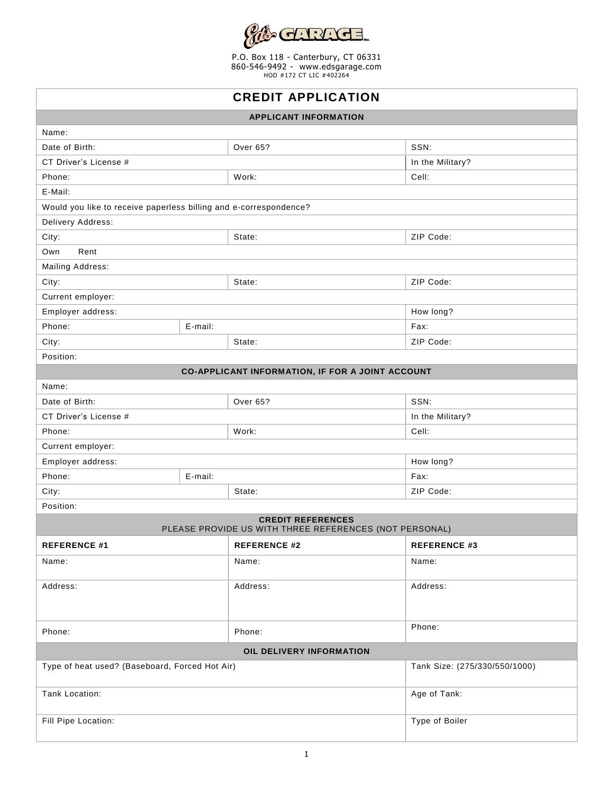

P.O. Box 118 - Canterbury, CT 06331 860-546-9492 - [www.edsgarage.com](http://www.edsgarage.com/) HOD #172 CT LIC #402264

| <b>CREDIT APPLICATION</b>                                                          |         |                     |                               |  |  |  |  |
|------------------------------------------------------------------------------------|---------|---------------------|-------------------------------|--|--|--|--|
| <b>APPLICANT INFORMATION</b>                                                       |         |                     |                               |  |  |  |  |
| Name:                                                                              |         |                     |                               |  |  |  |  |
| Date of Birth:                                                                     |         | <b>Over 65?</b>     | SSN:                          |  |  |  |  |
| CT Driver's License #                                                              |         |                     | In the Military?              |  |  |  |  |
| Phone:                                                                             |         | Work:               | Cell:                         |  |  |  |  |
| E-Mail:                                                                            |         |                     |                               |  |  |  |  |
| Would you like to receive paperless billing and e-correspondence?                  |         |                     |                               |  |  |  |  |
| Delivery Address:                                                                  |         |                     |                               |  |  |  |  |
| City:                                                                              |         | State:              | ZIP Code:                     |  |  |  |  |
| Rent<br>Own                                                                        |         |                     |                               |  |  |  |  |
| Mailing Address:                                                                   |         |                     |                               |  |  |  |  |
| City:                                                                              |         | State:              | ZIP Code:                     |  |  |  |  |
| Current employer:                                                                  |         |                     |                               |  |  |  |  |
| Employer address:                                                                  |         |                     | How long?                     |  |  |  |  |
| Phone:<br>E-mail:                                                                  |         |                     | Fax:                          |  |  |  |  |
| City:                                                                              |         | State:              | ZIP Code:                     |  |  |  |  |
| Position:                                                                          |         |                     |                               |  |  |  |  |
| CO-APPLICANT INFORMATION, IF FOR A JOINT ACCOUNT                                   |         |                     |                               |  |  |  |  |
| Name:                                                                              |         |                     |                               |  |  |  |  |
| Date of Birth:                                                                     |         | Over 65?            | SSN:                          |  |  |  |  |
| CT Driver's License #                                                              |         |                     | In the Military?              |  |  |  |  |
| Phone:                                                                             |         | Work:               | Cell:                         |  |  |  |  |
| Current employer:                                                                  |         |                     |                               |  |  |  |  |
| How long?<br>Employer address:                                                     |         |                     |                               |  |  |  |  |
| Phone:                                                                             | E-mail: |                     | Fax:                          |  |  |  |  |
| City:                                                                              |         | State:              | ZIP Code:                     |  |  |  |  |
| Position:                                                                          |         |                     |                               |  |  |  |  |
| <b>CREDIT REFERENCES</b><br>PLEASE PROVIDE US WITH THREE REFERENCES (NOT PERSONAL) |         |                     |                               |  |  |  |  |
| <b>REFERENCE #1</b>                                                                |         | <b>REFERENCE #2</b> | <b>REFERENCE #3</b>           |  |  |  |  |
| Name:                                                                              |         | Name:               | Name:                         |  |  |  |  |
| Address:                                                                           |         | Address:            | Address:                      |  |  |  |  |
|                                                                                    |         |                     |                               |  |  |  |  |
|                                                                                    |         |                     |                               |  |  |  |  |
| Phone:                                                                             |         | Phone:              | Phone:                        |  |  |  |  |
| OIL DELIVERY INFORMATION                                                           |         |                     |                               |  |  |  |  |
| Type of heat used? (Baseboard, Forced Hot Air)                                     |         |                     | Tank Size: (275/330/550/1000) |  |  |  |  |
| Tank Location:                                                                     |         |                     | Age of Tank:                  |  |  |  |  |
| Fill Pipe Location:                                                                |         |                     | Type of Boiler                |  |  |  |  |